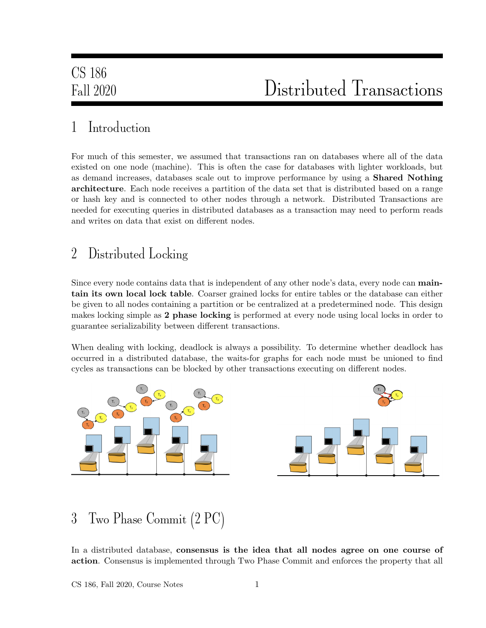### 1 Introduction

For much of this semester, we assumed that transactions ran on databases where all of the data existed on one node (machine). This is often the case for databases with lighter workloads, but as demand increases, databases scale out to improve performance by using a Shared Nothing architecture. Each node receives a partition of the data set that is distributed based on a range or hash key and is connected to other nodes through a network. Distributed Transactions are needed for executing queries in distributed databases as a transaction may need to perform reads and writes on data that exist on different nodes.

### 2 Distributed Locking

Since every node contains data that is independent of any other node's data, every node can maintain its own local lock table. Coarser grained locks for entire tables or the database can either be given to all nodes containing a partition or be centralized at a predetermined node. This design makes locking simple as 2 phase locking is performed at every node using local locks in order to guarantee serializability between different transactions.

When dealing with locking, deadlock is always a possibility. To determine whether deadlock has occurred in a distributed database, the waits-for graphs for each node must be unioned to find cycles as transactions can be blocked by other transactions executing on different nodes.



### 3 Two Phase Commit (2 PC)

In a distributed database, consensus is the idea that all nodes agree on one course of action. Consensus is implemented through Two Phase Commit and enforces the property that all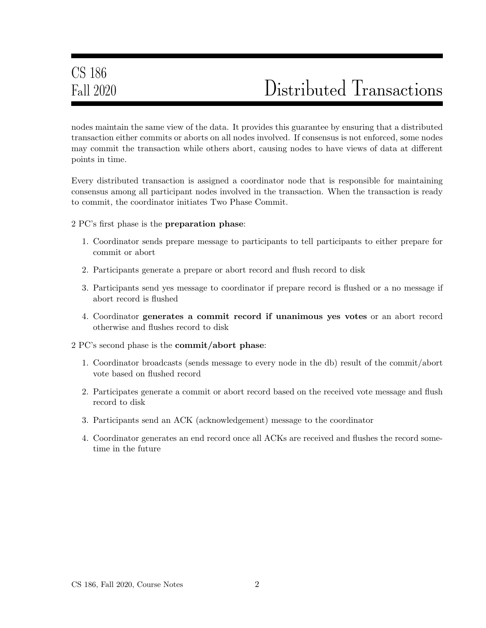nodes maintain the same view of the data. It provides this guarantee by ensuring that a distributed transaction either commits or aborts on all nodes involved. If consensus is not enforced, some nodes may commit the transaction while others abort, causing nodes to have views of data at different points in time.

Every distributed transaction is assigned a coordinator node that is responsible for maintaining consensus among all participant nodes involved in the transaction. When the transaction is ready to commit, the coordinator initiates Two Phase Commit.

2 PC's first phase is the preparation phase:

- 1. Coordinator sends prepare message to participants to tell participants to either prepare for commit or abort
- 2. Participants generate a prepare or abort record and flush record to disk
- 3. Participants send yes message to coordinator if prepare record is flushed or a no message if abort record is flushed
- 4. Coordinator generates a commit record if unanimous yes votes or an abort record otherwise and flushes record to disk
- 2 PC's second phase is the commit/abort phase:
	- 1. Coordinator broadcasts (sends message to every node in the db) result of the commit/abort vote based on flushed record
	- 2. Participates generate a commit or abort record based on the received vote message and flush record to disk
	- 3. Participants send an ACK (acknowledgement) message to the coordinator
	- 4. Coordinator generates an end record once all ACKs are received and flushes the record sometime in the future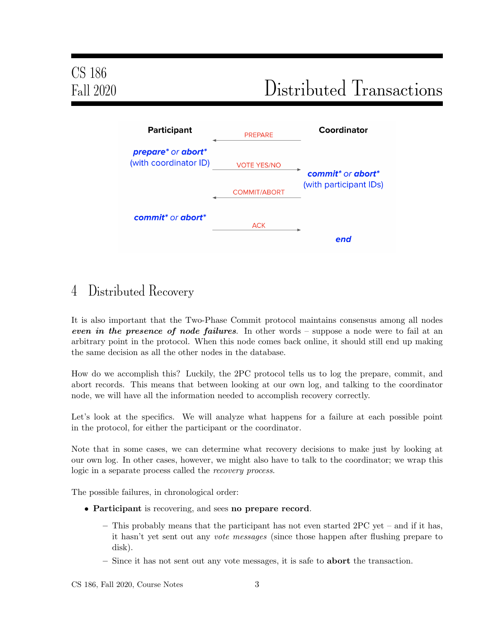

#### 4 Distributed Recovery

It is also important that the Two-Phase Commit protocol maintains consensus among all nodes even in the presence of node failures. In other words – suppose a node were to fail at an arbitrary point in the protocol. When this node comes back online, it should still end up making the same decision as all the other nodes in the database.

How do we accomplish this? Luckily, the 2PC protocol tells us to log the prepare, commit, and abort records. This means that between looking at our own log, and talking to the coordinator node, we will have all the information needed to accomplish recovery correctly.

Let's look at the specifics. We will analyze what happens for a failure at each possible point in the protocol, for either the participant or the coordinator.

Note that in some cases, we can determine what recovery decisions to make just by looking at our own log. In other cases, however, we might also have to talk to the coordinator; we wrap this logic in a separate process called the recovery process.

The possible failures, in chronological order:

- Participant is recovering, and sees no prepare record.
	- $-$  This probably means that the participant has not even started 2PC yet  $-$  and if it has, it hasn't yet sent out any vote messages (since those happen after flushing prepare to disk).
	- Since it has not sent out any vote messages, it is safe to abort the transaction.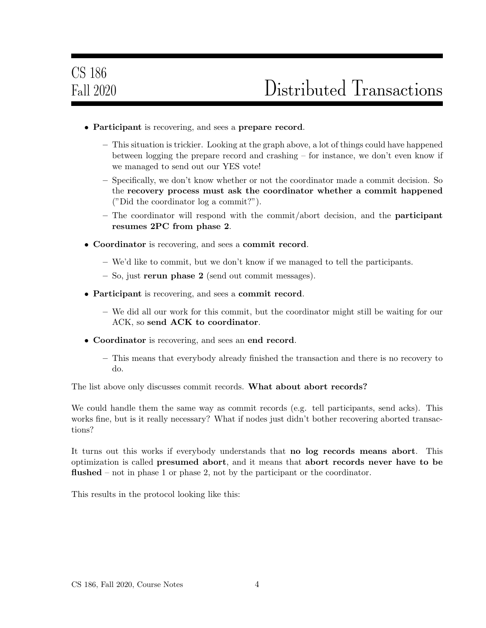- Participant is recovering, and sees a prepare record.
	- This situation is trickier. Looking at the graph above, a lot of things could have happened between logging the prepare record and crashing – for instance, we don't even know if we managed to send out our YES vote!
	- Specifically, we don't know whether or not the coordinator made a commit decision. So the recovery process must ask the coordinator whether a commit happened ("Did the coordinator log a commit?").
	- $-$  The coordinator will respond with the commit/abort decision, and the **participant** resumes 2PC from phase 2.
- Coordinator is recovering, and sees a commit record.
	- We'd like to commit, but we don't know if we managed to tell the participants.
	- So, just rerun phase 2 (send out commit messages).
- Participant is recovering, and sees a commit record.
	- We did all our work for this commit, but the coordinator might still be waiting for our ACK, so send ACK to coordinator.
- Coordinator is recovering, and sees an end record.
	- This means that everybody already finished the transaction and there is no recovery to do.

The list above only discusses commit records. What about abort records?

We could handle them the same way as commit records (e.g. tell participants, send acks). This works fine, but is it really necessary? What if nodes just didn't bother recovering aborted transactions?

It turns out this works if everybody understands that no log records means abort. This optimization is called presumed abort, and it means that abort records never have to be flushed – not in phase 1 or phase 2, not by the participant or the coordinator.

This results in the protocol looking like this: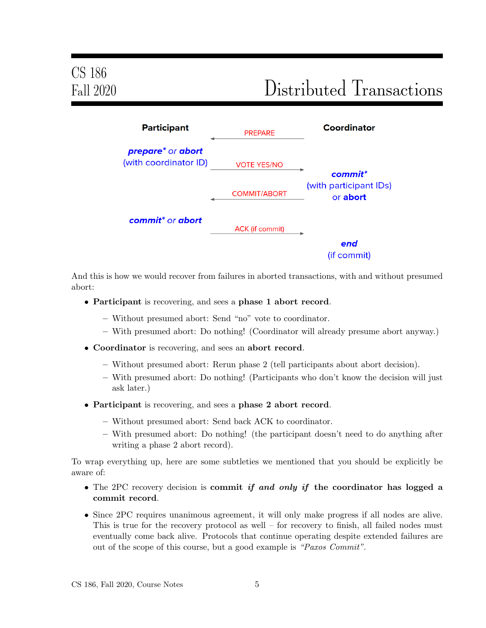

And this is how we would recover from failures in aborted transactions, with and without presumed abort:

- Participant is recovering, and sees a phase 1 abort record.
	- Without presumed abort: Send "no" vote to coordinator.
	- With presumed abort: Do nothing! (Coordinator will already presume abort anyway.)
- Coordinator is recovering, and sees an abort record.
	- Without presumed abort: Rerun phase 2 (tell participants about abort decision).
	- With presumed abort: Do nothing! (Participants who don't know the decision will just ask later.)
- Participant is recovering, and sees a phase 2 abort record.
	- Without presumed abort: Send back ACK to coordinator.
	- With presumed abort: Do nothing! (the participant doesn't need to do anything after writing a phase 2 abort record).

To wrap everything up, here are some subtleties we mentioned that you should be explicitly be aware of:

- The 2PC recovery decision is commit if and only if the coordinator has logged a commit record.
- Since 2PC requires unanimous agreement, it will only make progress if all nodes are alive. This is true for the recovery protocol as well – for recovery to finish, all failed nodes must eventually come back alive. Protocols that continue operating despite extended failures are out of the scope of this course, but a good example is "Paxos Commit".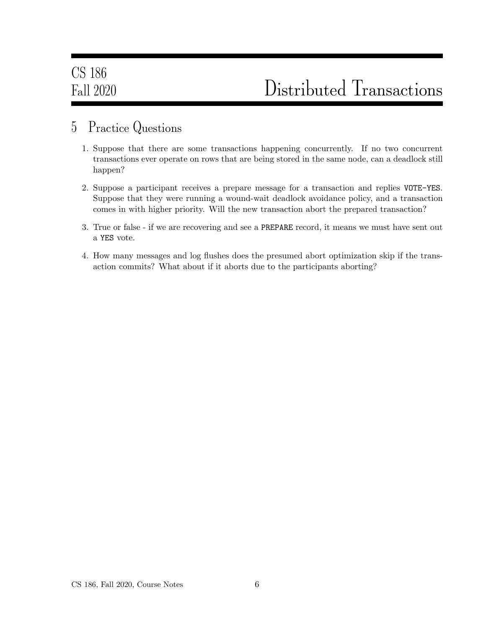#### 5 Practice Questions

- 1. Suppose that there are some transactions happening concurrently. If no two concurrent transactions ever operate on rows that are being stored in the same node, can a deadlock still happen?
- 2. Suppose a participant receives a prepare message for a transaction and replies VOTE-YES. Suppose that they were running a wound-wait deadlock avoidance policy, and a transaction comes in with higher priority. Will the new transaction abort the prepared transaction?
- 3. True or false if we are recovering and see a PREPARE record, it means we must have sent out a YES vote.
- 4. How many messages and log flushes does the presumed abort optimization skip if the transaction commits? What about if it aborts due to the participants aborting?